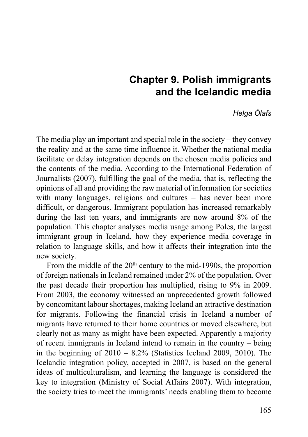# **Chapter 9. Polish immigrants and the Icelandic media**

#### *Helga Ólafs*

The media play an important and special role in the society – they convey the reality and at the same time influence it. Whether the national media facilitate or delay integration depends on the chosen media policies and the contents of the media. According to the International Federation of Journalists (2007), fulfilling the goal of the media, that is, reflecting the opinions of all and providing the raw material of information for societies with many languages, religions and cultures – has never been more difficult, or dangerous. Immigrant population has increased remarkably during the last ten years, and immigrants are now around 8% of the population. This chapter analyses media usage among Poles, the largest immigrant group in Iceland, how they experience media coverage in relation to language skills, and how it affects their integration into the new society.

From the middle of the 20<sup>th</sup> century to the mid-1990s, the proportion of foreign nationals in Iceland remained under 2% of the population. Over the past decade their proportion has multiplied, rising to 9% in 2009. From 2003, the economy witnessed an unprecedented growth followed by concomitant labour shortages, making Iceland an attractive destination for migrants. Following the financial crisis in Iceland a number of migrants have returned to their home countries or moved elsewhere, but clearly not as many as might have been expected. Apparently a majority of recent immigrants in Iceland intend to remain in the country – being in the beginning of  $2010 - 8.2\%$  (Statistics Iceland 2009, 2010). The Icelandic integration policy, accepted in 2007, is based on the general ideas of multiculturalism, and learning the language is considered the key to integration (Ministry of Social Affairs 2007). With integration, the society tries to meet the immigrants' needs enabling them to become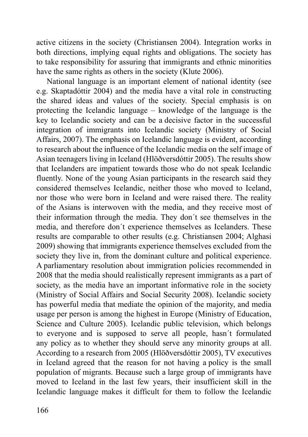active citizens in the society (Christiansen 2004). Integration works in both directions, implying equal rights and obligations. The society has to take responsibility for assuring that immigrants and ethnic minorities have the same rights as others in the society (Klute 2006).

National language is an important element of national identity (see e.g. Skaptadóttir 2004) and the media have a vital role in constructing the shared ideas and values of the society. Special emphasis is on protecting the Icelandic language – knowledge of the language is the key to Icelandic society and can be a decisive factor in the successful integration of immigrants into Icelandic society (Ministry of Social Affairs, 2007). The emphasis on Icelandic language is evident, according to research about the influence of the Icelandic media on the self image of Asian teenagers living in Iceland (Hlöðversdóttir 2005). The results show that Icelanders are impatient towards those who do not speak Icelandic fluently. None of the young Asian participants in the research said they considered themselves Icelandic, neither those who moved to Iceland, nor those who were born in Iceland and were raised there. The reality of the Asians is interwoven with the media, and they receive most of their information through the media. They don´t see themselves in the media, and therefore don´t experience themselves as Icelanders. These results are comparable to other results (e.g. Christiansen 2004; Alghasi 2009) showing that immigrants experience themselves excluded from the society they live in, from the dominant culture and political experience. A parliamentary resolution about immigration policies recommended in 2008 that the media should realistically represent immigrants as a part of society, as the media have an important informative role in the society (Ministry of Social Affairs and Social Security 2008). Icelandic society has powerful media that mediate the opinion of the majority, and media usage per person is among the highest in Europe (Ministry of Education, Science and Culture 2005). Icelandic public television, which belongs to everyone and is supposed to serve all people, hasn´t formulated any policy as to whether they should serve any minority groups at all. According to a research from 2005 (Hlöðversdóttir 2005), TV executives in Iceland agreed that the reason for not having a policy is the small population of migrants. Because such a large group of immigrants have moved to Iceland in the last few years, their insufficient skill in the Icelandic language makes it difficult for them to follow the Icelandic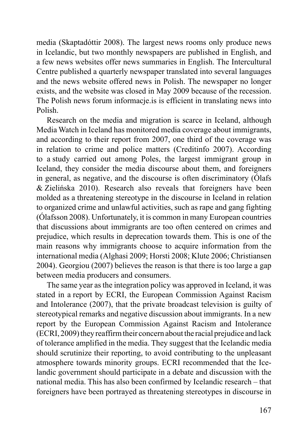media (Skaptadóttir 2008). The largest news rooms only produce news in Icelandic, but two monthly newspapers are published in English, and a few news websites offer news summaries in English. The Intercultural Centre published a quarterly newspaper translated into several languages and the news website offered news in Polish. The newspaper no longer exists, and the website was closed in May 2009 because of the recession. The Polish news forum informacje.is is efficient in translating news into Polish.

Research on the media and migration is scarce in Iceland, although Media Watch in Iceland has monitored media coverage about immigrants, and according to their report from 2007, one third of the coverage was in relation to crime and police matters (Creditinfo 2007). According to a study carried out among Poles, the largest immigrant group in Iceland, they consider the media discourse about them, and foreigners in general, as negative, and the discourse is often discriminatory (Ólafs & Zielińska 2010). Research also reveals that foreigners have been molded as a threatening stereotype in the discourse in Iceland in relation to organized crime and unlawful activities, such as rape and gang fighting (Ólafsson 2008). Unfortunately, it is common in many European countries that discussions about immigrants are too often centered on crimes and prejudice, which results in deprecation towards them. This is one of the main reasons why immigrants choose to acquire information from the international media (Alghasi 2009; Horsti 2008; Klute 2006; Christiansen 2004). Georgiou (2007) believes the reason is that there is too large a gap between media producers and consumers.

The same year as the integration policy was approved in Iceland, it was stated in a report by ECRI, the European Commission Against Racism and Intolerance (2007), that the private broadcast television is guilty of stereotypical remarks and negative discussion about immigrants. In a new report by the European Commission Against Racism and Intolerance (ECRI, 2009) they reaffirm their concern about the racial prejudice and lack of tolerance amplified in the media. They suggest that the Icelandic media should scrutinize their reporting, to avoid contributing to the unpleasant atmosphere towards minority groups. ECRI recommended that the Icelandic government should participate in a debate and discussion with the national media. This has also been confirmed by Icelandic research – that foreigners have been portrayed as threatening stereotypes in discourse in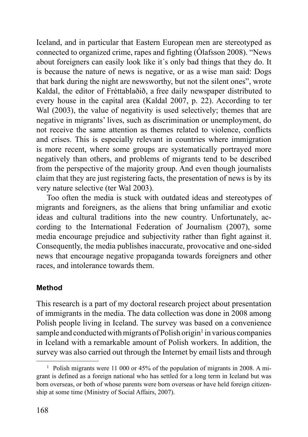Iceland, and in particular that Eastern European men are stereotyped as connected to organized crime, rapes and fighting (Ólafsson 2008). "News about foreigners can easily look like it´s only bad things that they do. It is because the nature of news is negative, or as a wise man said: Dogs that bark during the night are newsworthy, but not the silent ones", wrote Kaldal, the editor of Fréttablaðið, a free daily newspaper distributed to every house in the capital area (Kaldal 2007, p. 22). According to ter Wal (2003), the value of negativity is used selectively; themes that are negative in migrants' lives, such as discrimination or unemployment, do not receive the same attention as themes related to violence, conflicts and crises. This is especially relevant in countries where immigration is more recent, where some groups are systematically portrayed more negatively than others, and problems of migrants tend to be described from the perspective of the majority group. And even though journalists claim that they are just registering facts, the presentation of news is by its very nature selective (ter Wal 2003).

Too often the media is stuck with outdated ideas and stereotypes of migrants and foreigners, as the aliens that bring unfamiliar and exotic ideas and cultural traditions into the new country. Unfortunately, according to the International Federation of Journalism (2007), some media encourage prejudice and subjectivity rather than fight against it. Consequently, the media publishes inaccurate, provocative and one-sided news that encourage negative propaganda towards foreigners and other races, and intolerance towards them.

## **Method**

This research is a part of my doctoral research project about presentation of immigrants in the media. The data collection was done in 2008 among Polish people living in Iceland. The survey was based on a convenience sample and conducted with migrants of Polish origin<sup>1</sup> in various companies in Iceland with a remarkable amount of Polish workers. In addition, the survey was also carried out through the Internet by email lists and through

<sup>&</sup>lt;sup>1</sup> Polish migrants were 11 000 or 45% of the population of migrants in 2008. A migrant is defined as a foreign national who has settled for a long term in Iceland but was born overseas, or both of whose parents were born overseas or have held foreign citizenship at some time (Ministry of Social Affairs, 2007).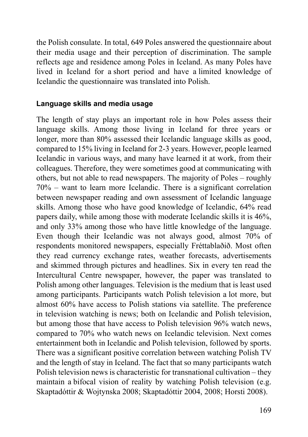the Polish consulate. In total, 649 Poles answered the questionnaire about their media usage and their perception of discrimination. The sample reflects age and residence among Poles in Iceland. As many Poles have lived in Iceland for a short period and have a limited knowledge of Icelandic the questionnaire was translated into Polish.

#### **Language skills and media usage**

The length of stay plays an important role in how Poles assess their language skills. Among those living in Iceland for three years or longer, more than 80% assessed their Icelandic language skills as good, compared to 15% living in Iceland for 2-3 years. However, people learned Icelandic in various ways, and many have learned it at work, from their colleagues. Therefore, they were sometimes good at communicating with others, but not able to read newspapers. The majority of Poles – roughly 70% – want to learn more Icelandic. There is a significant correlation between newspaper reading and own assessment of Icelandic language skills. Among those who have good knowledge of Icelandic, 64% read papers daily, while among those with moderate Icelandic skills it is 46%, and only 33% among those who have little knowledge of the language. Even though their Icelandic was not always good, almost 70% of respondents monitored newspapers, especially Fréttablaðið. Most often they read currency exchange rates, weather forecasts, advertisements and skimmed through pictures and headlines. Six in every ten read the Intercultural Centre newspaper, however, the paper was translated to Polish among other languages. Television is the medium that is least used among participants. Participants watch Polish television a lot more, but almost 60% have access to Polish stations via satellite. The preference in television watching is news; both on Icelandic and Polish television, but among those that have access to Polish television 96% watch news, compared to 70% who watch news on Icelandic television. Next comes entertainment both in Icelandic and Polish television, followed by sports. There was a significant positive correlation between watching Polish TV and the length of stay in Iceland. The fact that so many participants watch Polish television news is characteristic for transnational cultivation – they maintain a bifocal vision of reality by watching Polish television (e.g. Skaptadóttir & Wojtynska 2008; Skaptadóttir 2004, 2008; Horsti 2008).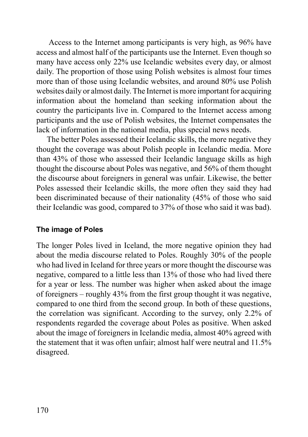Access to the Internet among participants is very high, as 96% have access and almost half of the participants use the Internet. Even though so many have access only 22% use Icelandic websites every day, or almost daily. The proportion of those using Polish websites is almost four times more than of those using Icelandic websites, and around 80% use Polish websites daily or almost daily. The Internet is more important for acquiring information about the homeland than seeking information about the country the participants live in. Compared to the Internet access among participants and the use of Polish websites, the Internet compensates the lack of information in the national media, plus special news needs.

The better Poles assessed their Icelandic skills, the more negative they thought the coverage was about Polish people in Icelandic media. More than 43% of those who assessed their Icelandic language skills as high thought the discourse about Poles was negative, and 56% of them thought the discourse about foreigners in general was unfair. Likewise, the better Poles assessed their Icelandic skills, the more often they said they had been discriminated because of their nationality (45% of those who said their Icelandic was good, compared to 37% of those who said it was bad).

## **The image of Poles**

The longer Poles lived in Iceland, the more negative opinion they had about the media discourse related to Poles. Roughly 30% of the people who had lived in Iceland for three years or more thought the discourse was negative, compared to a little less than 13% of those who had lived there for a year or less. The number was higher when asked about the image of foreigners – roughly 43% from the first group thought it was negative, compared to one third from the second group. In both of these questions, the correlation was significant. According to the survey, only 2.2% of respondents regarded the coverage about Poles as positive. When asked about the image of foreigners in Icelandic media, almost 40% agreed with the statement that it was often unfair; almost half were neutral and 11.5% disagreed.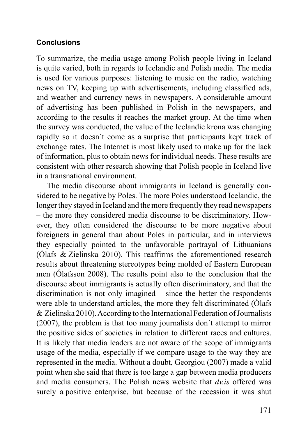#### **Conclusions**

To summarize, the media usage among Polish people living in Iceland is quite varied, both in regards to Icelandic and Polish media. The media is used for various purposes: listening to music on the radio, watching news on TV, keeping up with advertisements, including classified ads, and weather and currency news in newspapers. A considerable amount of advertising has been published in Polish in the newspapers, and according to the results it reaches the market group. At the time when the survey was conducted, the value of the Icelandic krona was changing rapidly so it doesn´t come as a surprise that participants kept track of exchange rates. The Internet is most likely used to make up for the lack of information, plus to obtain news for individual needs. These results are consistent with other research showing that Polish people in Iceland live in a transnational environment.

The media discourse about immigrants in Iceland is generally considered to be negative by Poles. The more Poles understood Icelandic, the longer they stayed in Iceland and the more frequently they read newspapers – the more they considered media discourse to be discriminatory. However, they often considered the discourse to be more negative about foreigners in general than about Poles in particular, and in interviews they especially pointed to the unfavorable portrayal of Lithuanians (Ólafs & Zielinska 2010). This reaffirms the aforementioned research results about threatening stereotypes being molded of Eastern European men (Ólafsson 2008). The results point also to the conclusion that the discourse about immigrants is actually often discriminatory, and that the discrimination is not only imagined – since the better the respondents were able to understand articles, the more they felt discriminated (Ólafs & Zielinska 2010). According to the International Federation of Journalists (2007), the problem is that too many journalists don´t attempt to mirror the positive sides of societies in relation to different races and cultures. It is likely that media leaders are not aware of the scope of immigrants usage of the media, especially if we compare usage to the way they are represented in the media. Without a doubt, Georgiou (2007) made a valid point when she said that there is too large a gap between media producers and media consumers. The Polish news website that *dv.is* offered was surely a positive enterprise, but because of the recession it was shut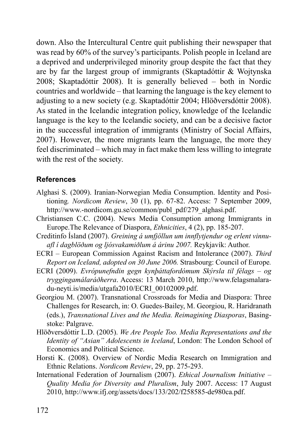down. Also the Intercultural Centre quit publishing their newspaper that was read by 60% of the survey's participants. Polish people in Iceland are a deprived and underprivileged minority group despite the fact that they are by far the largest group of immigrants (Skaptadóttir & Wojtynska 2008; Skaptadóttir 2008). It is generally believed – both in Nordic countries and worldwide – that learning the language is the key element to adjusting to a new society (e.g. Skaptadóttir 2004; Hlöðversdóttir 2008). As stated in the Icelandic integration policy, knowledge of the Icelandic language is the key to the Icelandic society, and can be a decisive factor in the successful integration of immigrants (Ministry of Social Affairs, 2007). However, the more migrants learn the language, the more they feel discriminated – which may in fact make them less willing to integrate with the rest of the society.

## **References**

- Alghasi S. (2009). Iranian-Norwegian Media Consumption. Identity and Positioning*. Nordicom Review*, 30 (1), pp. 67-82. Access: 7 September 2009, http://www.-nordicom.gu.se/common/publ\_pdf/279\_alghasi.pdf.
- Christiansen C.C. (2004). News Media Consumption among Immigrants in Europe.The Relevance of Diaspora, *Ethnicities*, 4 (2), pp. 185-207.
- Creditinfo Ísland (2007). *Greining á umfjöllun um innflytjendur og erlent vinnuafl í dagblöðum og ljósvakamiðlum á árinu 2007.* Reykjavík: Author.
- ECRI European Commission Against Racism and Intolerance (2007). *Third Report on Iceland, adopted on 30 June 2006.* Strasbourg: Council of Europe*.*
- ECRI (2009). *Evrópunefndin gegn kynþáttafordómum Skýrsla til félags og tryggingamálaráðherra*. Access: 13 March 2010, http://www.felagsmalaradu-neyti.is/media/utgafa2010/ECRI\_00102009.pdf.
- Georgiou M. (2007). Transnational Crossroads for Media and Diaspora: Three Challenges for Research, in: O. Guedes-Bailey, M. Georgiou, R. Haridranath (eds.), *Transnational Lives and the Media. Reimagining Diasporas*, Basingstoke: Palgrave.
- Hlöðversdóttir L.D. (2005). *We Are People Too. Media Representations and the Identity of "Asian" Adolescents in Iceland*, London: The London School of Economics and Political Science.
- Horsti K. (2008). Overview of Nordic Media Research on Immigration and Ethnic Relations. *Nordicom Review*, 29, pp. 275-293.
- International Federation of Journalism (2007). *Ethical Journalism Initiative Quality Media for Diversity and Pluralism*, July 2007. Access: 17 August 2010, http://www.ifj.org/assets/docs/133/202/f258585-de980ca.pdf.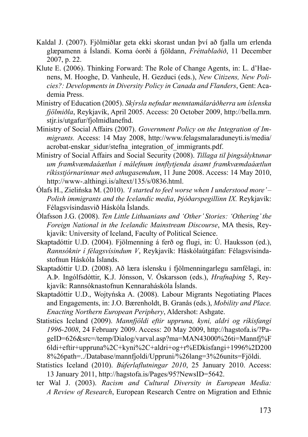- Kaldal J. (2007). Fjölmiðlar geta ekki skorast undan því að fjalla um erlenda glæpamenn á Íslandi. Koma óorði á fjöldann, *Fréttablaðið*, 11 December 2007, p. 22.
- Klute E. (2006). Thinking Forward: The Role of Change Agents, in: L. d'Haenens, M. Hooghe, D. Vanheule, H. Gezduci (eds.), *New Citizens, New Policies?: Developments in Diversity Policy in Canada and Flanders*, Gent: Academia Press.
- Ministry of Education (2005). *Skýrsla nefndar mennta má laráðherra um íslenska fjölmiðla*, Reykjavík, April 2005. Access: 20 October 2009, http://bella.mrn. stjr.is/utgafur/fjolmidlanefnd.
- Ministry of Social Affairs (2007). *Government Policy on the Integration of Immigrants.* Access: 14 May 2008, http://www.felagsmalaraduneyti.is/media/ acrobat-enskar\_sidur/stefna\_integration\_of\_immigrants.pdf.
- Ministry of Social Affairs and Social Security (2008). *Tillaga til þingsályktunar um framkvæmdaáætlun í málefnum innflytjenda ásamt framkvæmdaáætlun ríkisstjórnarinnar með athugasemdum*, 11 June 2008. Access: 14 May 2010, http://www-.althingi.is/altext/135/s/0836.html.
- Ólafs H., Zielińska M. (2010). *'I started to feel worse when I understood more' Polish immigrants and the Icelandic media*, *Þjóðarspegillinn IX.* Reykjavík: Félagsvísindasvið Háskóla Íslands.
- Ólafsson J.G. (2008). *Ten Little Lithuanians and 'Other' Stories: 'Othering' the Foreign National in the Icelandic Mainstream Discourse*, MA thesis, Reykjavik: University of Iceland, Faculty of Political Science.
- Skaptadóttir U.D. (2004). Fjölmenning á ferð og flugi, in: Ú. Hauksson (ed.), *Rannsóknir í félagsvísindum V*, Reykjavík: Háskólaútgáfan: Félagsvísindastofnun Háskóla Íslands.
- Skaptadóttir U.D. (2008). Að læra íslensku í fjölmenningarlegu samfélagi, in: A.Þ. Ingólfsdóttir, K.J. Jónsson, V. Óskarsson (eds.), *Hrafnaþing* 5, Reykjavík: Rannsóknastofnun Kennaraháskóla Íslands.
- Skaptadóttir U.D., Wojtyńska A. (2008). Labour Migrants Negotiating Places and Engagements, in: J.O. Bærenholdt, B. Granås (eds.), *Mobility and Place. Enacting Northern European Periphery*, Aldershot: Ashgate.
- Statistics Iceland (2009). *Mannfjöldi eftir uppruna, kyni, aldri og ríkisfangi 1996-2008*, 24 February 2009. Access: 20 May 2009, http://hagstofa.is/?PageID=626&src=/temp/Dialog/varval.asp?ma=MAN43000%26ti=Mannfj%F 6ldi+eftir+uppruna%2C+kyni%2C+aldri+og+r%EDkisfangi+1996%2D200 8%26path=../Database/mannfjoldi/Uppruni/%26lang=3%26units=Fjöldi.
- Statistics Iceland (2010). *Búferlaflutningar 2010*, 25 January 2010. Access: 13 January 2011, http://hagstofa.is/Pages/95?NewsID=5642.
- ter Wal J. (2003). *Racism and Cultural Diversity in European Media: A Review of Research*, European Research Centre on Migration and Ethnic